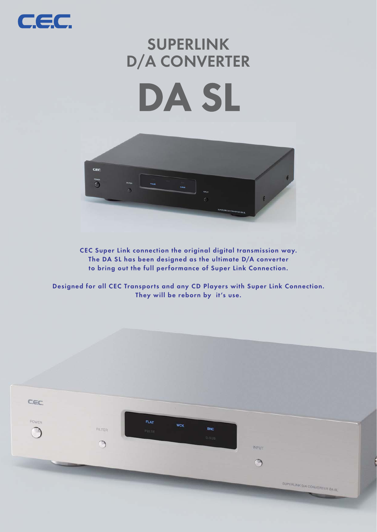

# **SUPERLINK D/A CONVERTER**





**CEC Super Link connection the original digital transmission way. The DA SL has been designed as the ultimate D/A converter to bring out the full performance of Super Link Connection.**

**Designed for all CEC Transports and any CD Players with Super Link Connection. They will be reborn by it's use.**